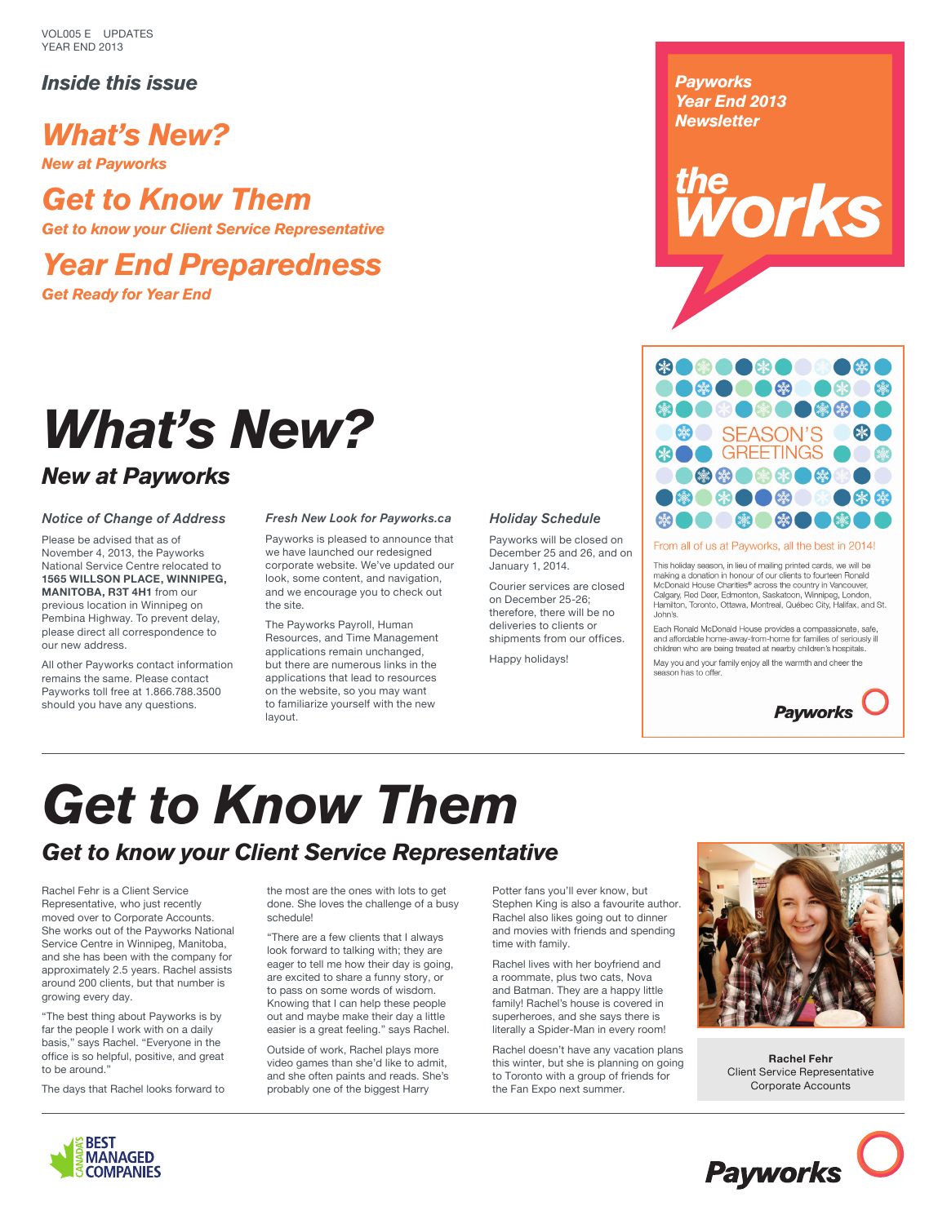VOL005 E UPDATES YEAR END 2013

## *Inside this issue*

# *What's New?*

*New at Payworks*

# *Get to Know Them*

*Get to know your Client Service Representative*

# *Year End Preparedness*

*Get Ready for Year End*

# *What's New?*

# *New at Payworks*

### *Notice of Change of Address*

Please be advised that as of November 4, 2013, the Payworks National Service Centre relocated to **1565 WILLSON PLACE, WINNIPEG, MANITOBA, R3T 4H1** from our previous location in Winnipeg on Pembina Highway. To prevent delay, please direct all correspondence to our new address.

All other Payworks contact information remains the same. Please contact Payworks toll free at 1.866.788.3500 should you have any questions.

### *Fresh New Look for Payworks.ca*

Payworks is pleased to announce that we have launched our redesigned corporate website. We've updated our look, some content, and navigation, and we encourage you to check out the site.

The Payworks Payroll, Human Resources, and Time Management applications remain unchanged, but there are numerous links in the applications that lead to resources on the website, so you may want to familiarize yourself with the new layout.

### *Holiday Schedule*

Payworks will be closed on December 25 and 26, and on January 1, 2014.

Courier services are closed on December 25-26; therefore, there will be no deliveries to clients or shipments from our offices.

Happy holidays!

*Payworks Year End 2013 Newsletter*

the **orks** 



#### From all of us at Payworks, all the best in 2014!

This holiday season, in lieu of mailing printed cards, we will be<br>making a donation in honour of our clients to fourteen Ronald McDonald House Charities® across the country in Vancouver,<br>Calgary, Red Deer, Edmonton, Saskatoon, Winnipeg, London,<br>Hamilton, Toronto, Ottawa, Montreal, Québec City, Halifax, and St. John's.

Each Ronald McDonald House provides a compassionate, safe, and affordable home-away-from-home for families of seriously ill<br>children who are being treated at nearby children's hospitals. May you and your family enjoy all the warmth and cheer the





# *Get to Know Them*

# *Get to know your Client Service Representative*

Rachel Fehr is a Client Service Representative, who just recently moved over to Corporate Accounts. She works out of the Payworks National Service Centre in Winnipeg, Manitoba, and she has been with the company for approximately 2.5 years. Rachel assists around 200 clients, but that number is growing every day.

"The best thing about Payworks is by far the people I work with on a daily basis," says Rachel. "Everyone in the office is so helpful, positive, and great to be around."

The days that Rachel looks forward to

the most are the ones with lots to get done. She loves the challenge of a busy schedule!

"There are a few clients that I always look forward to talking with; they are eager to tell me how their day is going, are excited to share a funny story, or to pass on some words of wisdom. Knowing that I can help these people out and maybe make their day a little easier is a great feeling." says Rachel.

Outside of work, Rachel plays more video games than she'd like to admit, and she often paints and reads. She's probably one of the biggest Harry

Potter fans you'll ever know, but Stephen King is also a favourite author. Rachel also likes going out to dinner and movies with friends and spending time with family.

Rachel lives with her boyfriend and a roommate, plus two cats, Nova and Batman. They are a happy little family! Rachel's house is covered in superheroes, and she says there is literally a Spider-Man in every room!

Rachel doesn't have any vacation plans this winter, but she is planning on going to Toronto with a group of friends for the Fan Expo next summer.



**Rachel Fehr** Client Service Representative Corporate Accounts

**Payworks**